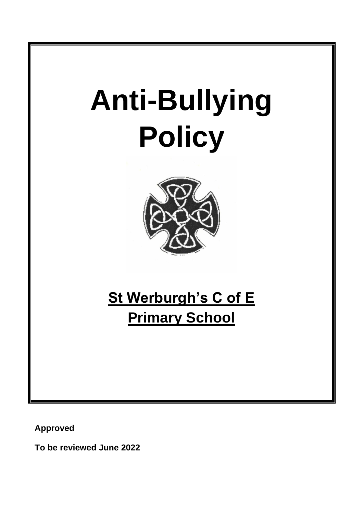

**Approved**

**To be reviewed June 2022**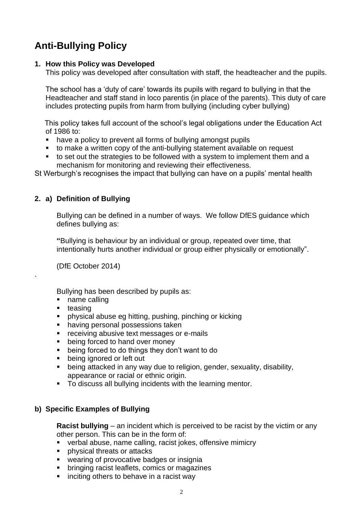# **Anti-Bullying Policy**

#### **1. How this Policy was Developed**

This policy was developed after consultation with staff, the headteacher and the pupils.

The school has a 'duty of care' towards its pupils with regard to bullying in that the Headteacher and staff stand in loco parentis (in place of the parents). This duty of care includes protecting pupils from harm from bullying (including cyber bullying)

 This policy takes full account of the school's legal obligations under the Education Act of 1986 to:

- have a policy to prevent all forms of bullying amongst pupils
- to make a written copy of the anti-bullying statement available on request
- to set out the strategies to be followed with a system to implement them and a mechanism for monitoring and reviewing their effectiveness.

St Werburgh's recognises the impact that bullying can have on a pupils' mental health

#### **2. a) Definition of Bullying**

Bullying can be defined in a number of ways. We follow DfES guidance which defines bullying as:

**"**Bullying is behaviour by an individual or group, repeated over time, that intentionally hurts another individual or group either physically or emotionally".

(DfE October 2014)

Bullying has been described by pupils as:

- name calling
- teasing

.

- physical abuse eg hitting, pushing, pinching or kicking
- having personal possessions taken
- receiving abusive text messages or e-mails
- being forced to hand over money
- being forced to do things they don't want to do
- being ignored or left out
- being attacked in any way due to religion, gender, sexuality, disability, appearance or racial or ethnic origin.
- To discuss all bullying incidents with the learning mentor.

#### **b) Specific Examples of Bullying**

**Racist bullying** – an incident which is perceived to be racist by the victim or any other person. This can be in the form of:

- verbal abuse, name calling, racist jokes, offensive mimicry
- physical threats or attacks
- wearing of provocative badges or insignia
- bringing racist leaflets, comics or magazines
- inciting others to behave in a racist way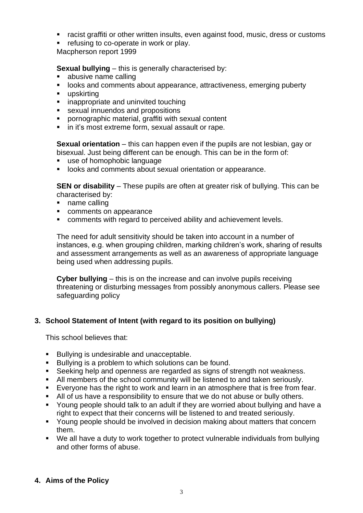- racist graffiti or other written insults, even against food, music, dress or customs
- **•** refusing to co-operate in work or play.

Macpherson report 1999

**Sexual bullying** – this is generally characterised by:

- abusive name calling
- looks and comments about appearance, attractiveness, emerging puberty
- upskirting
- inappropriate and uninvited touching
- sexual innuendos and propositions
- pornographic material, graffiti with sexual content
- in it's most extreme form, sexual assault or rape.

**Sexual orientation** – this can happen even if the pupils are not lesbian, gay or bisexual. Just being different can be enough. This can be in the form of:

- use of homophobic language
- looks and comments about sexual orientation or appearance.

**SEN or disability** – These pupils are often at greater risk of bullying. This can be characterised by:

- name calling
- comments on appearance
- comments with regard to perceived ability and achievement levels.

The need for adult sensitivity should be taken into account in a number of instances, e.g. when grouping children, marking children's work, sharing of results and assessment arrangements as well as an awareness of appropriate language being used when addressing pupils.

**Cyber bullying** – this is on the increase and can involve pupils receiving threatening or disturbing messages from possibly anonymous callers. Please see safeguarding policy

#### **3. School Statement of Intent (with regard to its position on bullying)**

This school believes that:

- Bullying is undesirable and unacceptable.
- Bullying is a problem to which solutions can be found.
- Seeking help and openness are regarded as signs of strength not weakness.
- All members of the school community will be listened to and taken seriously.
- Everyone has the right to work and learn in an atmosphere that is free from fear.
- All of us have a responsibility to ensure that we do not abuse or bully others.
- Young people should talk to an adult if they are worried about bullying and have a right to expect that their concerns will be listened to and treated seriously.
- Young people should be involved in decision making about matters that concern them.
- We all have a duty to work together to protect vulnerable individuals from bullying and other forms of abuse.

#### **4. Aims of the Policy**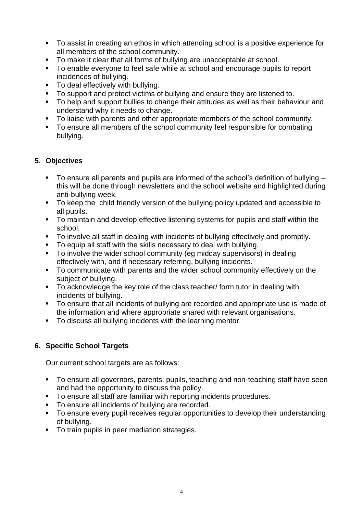- To assist in creating an ethos in which attending school is a positive experience for all members of the school community.
- To make it clear that all forms of bullying are unacceptable at school.
- To enable everyone to feel safe while at school and encourage pupils to report incidences of bullying.
- To deal effectively with bullying.
- To support and protect victims of bullying and ensure they are listened to.
- To help and support bullies to change their attitudes as well as their behaviour and understand why it needs to change.
- To liaise with parents and other appropriate members of the school community.<br>■ To ensure all members of the school community feel responsible for combating
- To ensure all members of the school community feel responsible for combating bullying.

### **5. Objectives**

- $\blacksquare$  To ensure all parents and pupils are informed of the school's definition of bullying  $\blacksquare$ this will be done through newsletters and the school website and highlighted during anti-bullying week.
- To keep the child friendly version of the bullying policy updated and accessible to all pupils.
- To maintain and develop effective listening systems for pupils and staff within the school.
- To involve all staff in dealing with incidents of bullying effectively and promptly.
- To equip all staff with the skills necessary to deal with bullying.
- To involve the wider school community (eg midday supervisors) in dealing effectively with, and if necessary referring, bullying incidents.
- To communicate with parents and the wider school community effectively on the subject of bullying.
- To acknowledge the key role of the class teacher/ form tutor in dealing with incidents of bullying.
- To ensure that all incidents of bullying are recorded and appropriate use is made of the information and where appropriate shared with relevant organisations.
- To discuss all bullying incidents with the learning mentor

### **6. Specific School Targets**

Our current school targets are as follows:

- To ensure all governors, parents, pupils, teaching and non-teaching staff have seen and had the opportunity to discuss the policy.
- To ensure all staff are familiar with reporting incidents procedures.
- To ensure all incidents of bullying are recorded.
- To ensure every pupil receives regular opportunities to develop their understanding of bullying.
- To train pupils in peer mediation strategies.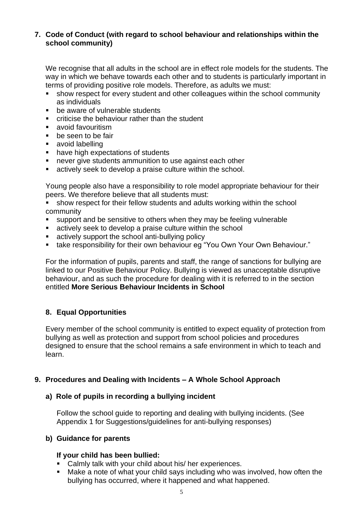### **7. Code of Conduct (with regard to school behaviour and relationships within the school community)**

We recognise that all adults in the school are in effect role models for the students. The way in which we behave towards each other and to students is particularly important in terms of providing positive role models. Therefore, as adults we must:

- show respect for every student and other colleagues within the school community as individuals
- be aware of vulnerable students
- criticise the behaviour rather than the student
- avoid favouritism
- be seen to be fair
- avoid labelling
- have high expectations of students
- never give students ammunition to use against each other
- actively seek to develop a praise culture within the school.

Young people also have a responsibility to role model appropriate behaviour for their peers. We therefore believe that all students must:

- show respect for their fellow students and adults working within the school community
- support and be sensitive to others when they may be feeling vulnerable
- actively seek to develop a praise culture within the school
- actively support the school anti-bullying policy
- take responsibility for their own behaviour eg "You Own Your Own Behaviour."

For the information of pupils, parents and staff, the range of sanctions for bullying are linked to our Positive Behaviour Policy. Bullying is viewed as unacceptable disruptive behaviour, and as such the procedure for dealing with it is referred to in the section entitled **More Serious Behaviour Incidents in School**

#### **8. Equal Opportunities**

Every member of the school community is entitled to expect equality of protection from bullying as well as protection and support from school policies and procedures designed to ensure that the school remains a safe environment in which to teach and learn.

#### **9. Procedures and Dealing with Incidents – A Whole School Approach**

#### **a) Role of pupils in recording a bullying incident**

Follow the school guide to reporting and dealing with bullying incidents. (See Appendix 1 for Suggestions/guidelines for anti-bullying responses)

#### **b) Guidance for parents**

#### **If your child has been bullied:**

- Calmly talk with your child about his/ her experiences.
- Make a note of what your child says including who was involved, how often the bullying has occurred, where it happened and what happened.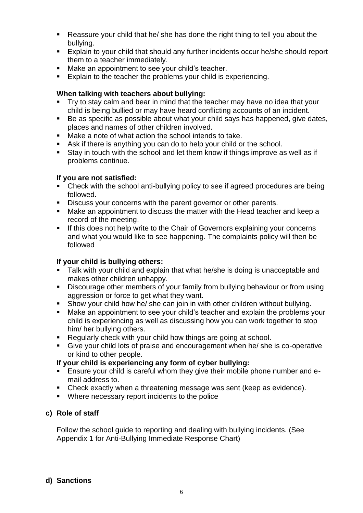- Reassure your child that he/ she has done the right thing to tell you about the bullying.
- Explain to your child that should any further incidents occur he/she should report them to a teacher immediately.
- Make an appointment to see your child's teacher.
- Explain to the teacher the problems your child is experiencing.

### **When talking with teachers about bullying:**

- Try to stay calm and bear in mind that the teacher may have no idea that your child is being bullied or may have heard conflicting accounts of an incident.
- Be as specific as possible about what your child says has happened, give dates, places and names of other children involved.
- Make a note of what action the school intends to take.
- Ask if there is anything you can do to help your child or the school.
- Stay in touch with the school and let them know if things improve as well as if problems continue.

### **If you are not satisfied:**

- Check with the school anti-bullying policy to see if agreed procedures are being followed.
- **EXECUSE** Your concerns with the parent governor or other parents.
- Make an appointment to discuss the matter with the Head teacher and keep a record of the meeting.
- **EXT** If this does not help write to the Chair of Governors explaining your concerns and what you would like to see happening. The complaints policy will then be followed

### **If your child is bullying others:**

- Talk with your child and explain that what he/she is doing is unacceptable and makes other children unhappy.
- **EXED** Discourage other members of your family from bullying behaviour or from using aggression or force to get what they want.
- Show your child how he/ she can join in with other children without bullying.
- Make an appointment to see your child's teacher and explain the problems your child is experiencing as well as discussing how you can work together to stop him/ her bullying others.
- Regularly check with your child how things are going at school.
- Give your child lots of praise and encouragement when he/ she is co-operative or kind to other people.

### **If your child is experiencing any form of cyber bullying:**

- Ensure your child is careful whom they give their mobile phone number and email address to.
- Check exactly when a threatening message was sent (keep as evidence).
- Where necessary report incidents to the police

### **c) Role of staff**

Follow the school guide to reporting and dealing with bullying incidents. (See Appendix 1 for Anti-Bullying Immediate Response Chart)

### **d) Sanctions**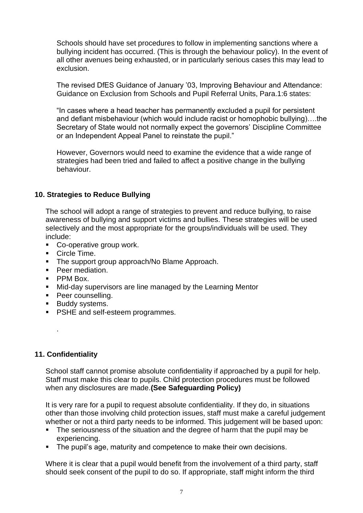Schools should have set procedures to follow in implementing sanctions where a bullying incident has occurred. (This is through the behaviour policy). In the event of all other avenues being exhausted, or in particularly serious cases this may lead to exclusion.

The revised DfES Guidance of January '03, Improving Behaviour and Attendance: Guidance on Exclusion from Schools and Pupil Referral Units, Para.1:6 states:

"In cases where a head teacher has permanently excluded a pupil for persistent and defiant misbehaviour (which would include racist or homophobic bullying)….the Secretary of State would not normally expect the governors' Discipline Committee or an Independent Appeal Panel to reinstate the pupil."

However, Governors would need to examine the evidence that a wide range of strategies had been tried and failed to affect a positive change in the bullying behaviour.

### **10. Strategies to Reduce Bullying**

The school will adopt a range of strategies to prevent and reduce bullying, to raise awareness of bullying and support victims and bullies. These strategies will be used selectively and the most appropriate for the groups/individuals will be used. They include:

- Co-operative group work.
- Circle Time.
- The support group approach/No Blame Approach.
- Peer mediation.
- PPM Box.
- Mid-day supervisors are line managed by the Learning Mentor
- Peer counselling.
- Buddy systems.
- PSHE and self-esteem programmes.

#### **11. Confidentiality**

.

School staff cannot promise absolute confidentiality if approached by a pupil for help. Staff must make this clear to pupils. Child protection procedures must be followed when any disclosures are made.**(See Safeguarding Policy)**

It is very rare for a pupil to request absolute confidentiality. If they do, in situations other than those involving child protection issues, staff must make a careful judgement whether or not a third party needs to be informed. This judgement will be based upon:

- The seriousness of the situation and the degree of harm that the pupil may be experiencing.
- The pupil's age, maturity and competence to make their own decisions.

Where it is clear that a pupil would benefit from the involvement of a third party, staff should seek consent of the pupil to do so. If appropriate, staff might inform the third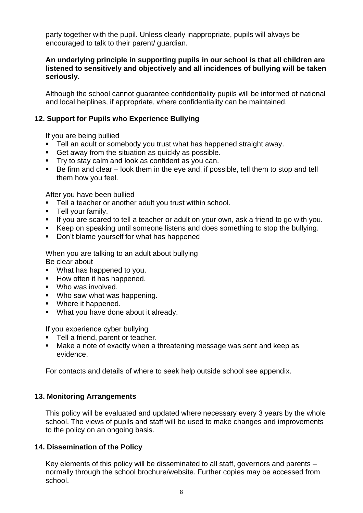party together with the pupil. Unless clearly inappropriate, pupils will always be encouraged to talk to their parent/ guardian.

#### **An underlying principle in supporting pupils in our school is that all children are listened to sensitively and objectively and all incidences of bullying will be taken seriously.**

Although the school cannot guarantee confidentiality pupils will be informed of national and local helplines, if appropriate, where confidentiality can be maintained.

### **12. Support for Pupils who Experience Bullying**

If you are being bullied

- Tell an adult or somebody you trust what has happened straight away.
- Get away from the situation as quickly as possible.
- Try to stay calm and look as confident as you can.
- Be firm and clear look them in the eye and, if possible, tell them to stop and tell them how you feel.

After you have been bullied

- Tell a teacher or another adult you trust within school.
- **•** Tell your family.
- **■** If you are scared to tell a teacher or adult on your own, ask a friend to go with you.
- Keep on speaking until someone listens and does something to stop the bullying.
- Don't blame yourself for what has happened

When you are talking to an adult about bullying

Be clear about

- What has happened to you.
- How often it has happened.
- Who was involved.
- Who saw what was happening.
- Where it happened.
- What you have done about it already.

If you experience cyber bullying

- Tell a friend, parent or teacher.
- Make a note of exactly when a threatening message was sent and keep as evidence.

For contacts and details of where to seek help outside school see appendix.

#### **13. Monitoring Arrangements**

This policy will be evaluated and updated where necessary every 3 years by the whole school. The views of pupils and staff will be used to make changes and improvements to the policy on an ongoing basis.

#### **14. Dissemination of the Policy**

Key elements of this policy will be disseminated to all staff, governors and parents – normally through the school brochure/website. Further copies may be accessed from school.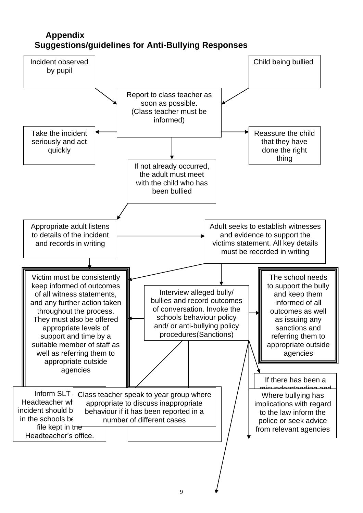# **Appendix Suggestions/guidelines for Anti-Bullying Responses**

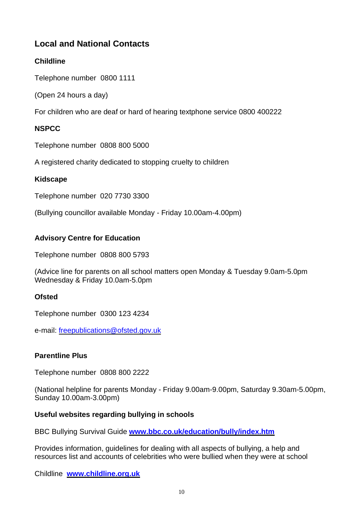# **Local and National Contacts**

## **Childline**

Telephone number 0800 1111

(Open 24 hours a day)

For children who are deaf or hard of hearing textphone service 0800 400222

### **NSPCC**

Telephone number 0808 800 5000

A registered charity dedicated to stopping cruelty to children

### **Kidscape**

Telephone number 020 7730 3300

(Bullying councillor available Monday - Friday 10.00am-4.00pm)

### **Advisory Centre for Education**

Telephone number 0808 800 5793

(Advice line for parents on all school matters open Monday & Tuesday 9.0am-5.0pm Wednesday & Friday 10.0am-5.0pm

### **Ofsted**

Telephone number 0300 123 4234

e-mail: [freepublications@ofsted.gov.uk](mailto:freepublications@ofsted.gov.uk)

### **Parentline Plus**

Telephone number 0808 800 2222

(National helpline for parents Monday - Friday 9.00am-9.00pm, Saturday 9.30am-5.00pm, Sunday 10.00am-3.00pm)

### **Useful websites regarding bullying in schools**

BBC Bullying Survival Guide **[www.bbc.co.uk/education/bully/index.htm](http://www.bbc.co.uk/education/bully/index.htm)**

Provides information, guidelines for dealing with all aspects of bullying, a help and resources list and accounts of celebrities who were bullied when they were at school

Childline **[www.childline.org.uk](http://www.childline.org.uk/)**